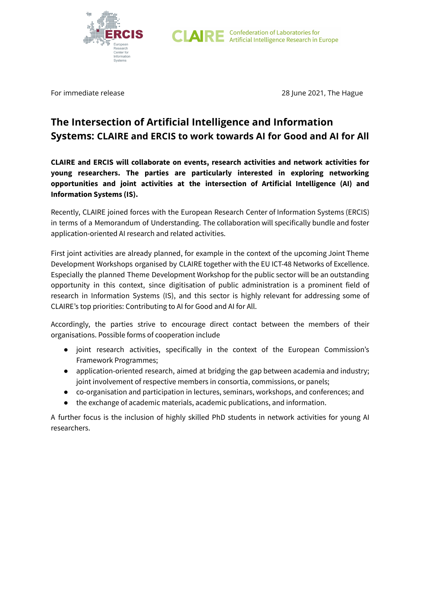



For immediate release 28 June 2021, The Hague

## **The Intersection of Artificial Intelligence and Information Systems: CLAIRE and ERCIS to work towards AI for Good and AI for All**

**CLAIRE and ERCIS will collaborate on events, research activities and network activities for young researchers. The parties are particularly interested in exploring networking opportunities and joint activities at the intersection of Artificial Intelligence (AI) and Information Systems (IS).**

Recently, CLAIRE joined forces with the European Research Center of Information Systems (ERCIS) in terms of a Memorandum of Understanding. The collaboration will specifically bundle and foster application-oriented AI research and related activities.

First joint activities are already planned, for example in the context of the upcoming Joint Theme Development Workshops organised by CLAIRE together with the EU ICT-48 Networks of Excellence. Especially the planned Theme Development Workshop for the public sector will be an outstanding opportunity in this context, since digitisation of public administration is a prominent field of research in Information Systems (IS), and this sector is highly relevant for addressing some of CLAIRE's top priorities: Contributing to AI for Good and AI for All.

Accordingly, the parties strive to encourage direct contact between the members of their organisations. Possible forms of cooperation include

- joint research activities, specifically in the context of the European Commission's Framework Programmes;
- application-oriented research, aimed at bridging the gap between academia and industry; joint involvement of respective members in consortia, commissions, or panels;
- co-organisation and participation in lectures, seminars, workshops, and conferences; and
- the exchange of academic materials, academic publications, and information.

A further focus is the inclusion of highly skilled PhD students in network activities for young AI researchers.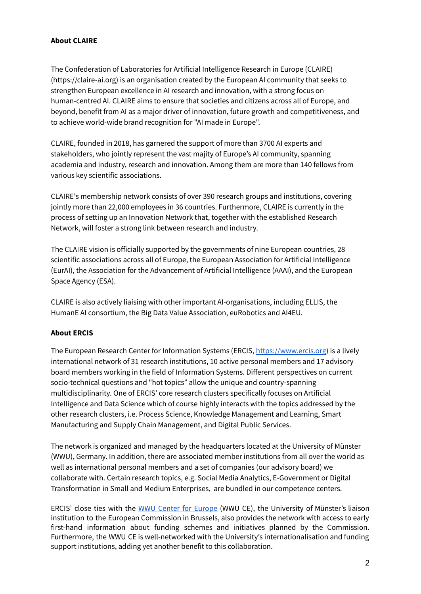## **About CLAIRE**

The Confederation of Laboratories for Artificial Intelligence Research in Europe (CLAIRE) (https://claire-ai.org) is an organisation created by the European AI community that seeks to strengthen European excellence in AI research and innovation, with a strong focus on human-centred AI. CLAIRE aims to ensure that societies and citizens across all of Europe, and beyond, benefit from AI as a major driver of innovation, future growth and competitiveness, and to achieve world-wide brand recognition for "AI made in Europe".

CLAIRE, founded in 2018, has garnered the support of more than 3700 AI experts and stakeholders, who jointly represent the vast majity of Europe's AI community, spanning academia and industry, research and innovation. Among them are more than 140 fellows from various key scientific associations.

CLAIRE's membership network consists of over 390 research groups and institutions, covering jointly more than 22,000 employees in 36 countries. Furthermore, CLAIRE is currently in the process of setting up an Innovation Network that, together with the established Research Network, will foster a strong link between research and industry.

The CLAIRE vision is officially supported by the governments of nine European countries, 28 scientific associations across all of Europe, the European Association for Artificial Intelligence (EurAI), the Association for the Advancement of Artificial Intelligence (AAAI), and the European Space Agency (ESA).

CLAIRE is also actively liaising with other important AI-organisations, including ELLIS, the HumanE AI consortium, the Big Data Value Association, euRobotics and AI4EU.

## **About ERCIS**

The European Research Center for Information Systems (ERCIS, [https://www.ercis.org\)](https://www.ercis.org) is a lively international network of 31 research institutions, 10 active personal members and 17 advisory board members working in the field of Information Systems. Different perspectives on current socio-technical questions and "hot topics" allow the unique and country-spanning multidisciplinarity. One of ERCIS' core research clusters specifically focuses on Artificial Intelligence and Data Science which of course highly interacts with the topics addressed by the other research clusters, i.e. Process Science, Knowledge Management and Learning, Smart Manufacturing and Supply Chain Management, and Digital Public Services.

The network is organized and managed by the headquarters located at the University of Münster (WWU), Germany. In addition, there are associated member institutions from all over the world as well as international personal members and a set of companies (our advisory board) we collaborate with. Certain research topics, e.g. Social Media Analytics, E-Government or Digital Transformation in Small and Medium Enterprises, are bundled in our competence centers.

ERCIS' close ties with the WWU Center for [Europe](https://www.ce.uni-muenster.de) (WWU CE), the University of Münster's liaison institution to the European Commission in Brussels, also provides the network with access to early first-hand information about funding schemes and initiatives planned by the Commission. Furthermore, the WWU CE is well-networked with the University's internationalisation and funding support institutions, adding yet another benefit to this collaboration.